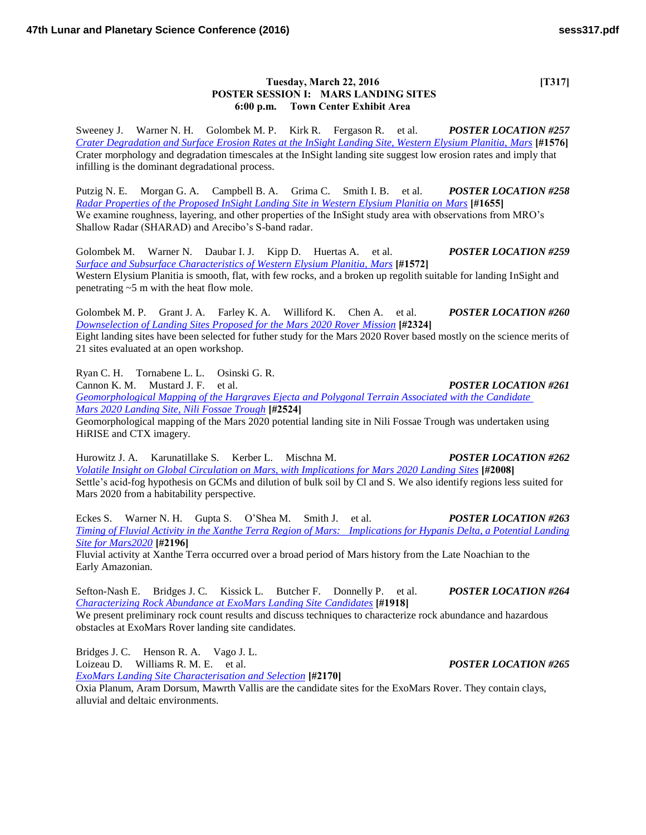## **Tuesday, March 22, 2016** [T317] **POSTER SESSION I: MARS LANDING SITES 6:00 p.m. Town Center Exhibit Area**

Sweeney J. Warner N. H. Golombek M. P. Kirk R. Fergason R. et al. *POSTER LOCATION #257 [Crater Degradation and Surface Erosion Rates at the InSight Landing Site, Western Elysium Planitia, Mars](http://www.hou.usra.edu/meetings/lpsc2016/pdf/1576.pdf)* **[#1576]** Crater morphology and degradation timescales at the InSight landing site suggest low erosion rates and imply that infilling is the dominant degradational process.

Putzig N. E. Morgan G. A. Campbell B. A. Grima C. Smith I. B. et al. *POSTER LOCATION #258 [Radar Properties of the Proposed InSight Landing Site in Western Elysium Planitia on Mars](http://www.hou.usra.edu/meetings/lpsc2016/pdf/1655.pdf)* **[#1655]** We examine roughness, layering, and other properties of the InSight study area with observations from MRO's Shallow Radar (SHARAD) and Arecibo's S-band radar.

Golombek M. Warner N. Daubar I. J. Kipp D. Huertas A. et al. *POSTER LOCATION #259 [Surface and Subsurface Characteristics of Western Elysium Planitia, Mars](http://www.hou.usra.edu/meetings/lpsc2016/pdf/1572.pdf)* **[#1572]** Western Elysium Planitia is smooth, flat, with few rocks, and a broken up regolith suitable for landing InSight and penetrating ~5 m with the heat flow mole.

Golombek M. P. Grant J. A. Farley K. A. Williford K. Chen A. et al. *POSTER LOCATION #260 [Downselection of Landing Sites Proposed for the Mars 2020 Rover Mission](http://www.hou.usra.edu/meetings/lpsc2016/pdf/2324.pdf)* **[#2324]** Eight landing sites have been selected for futher study for the Mars 2020 Rover based mostly on the science merits of 21 sites evaluated at an open workshop.

Ryan C. H. Tornabene L. L. Osinski G. R. Cannon K. M. Mustard J. F. et al. *POSTER LOCATION #261 [Geomorphological Mapping of the Hargraves Ejecta and Polygonal Terrain Associated with the Candidate](http://www.hou.usra.edu/meetings/lpsc2016/pdf/2524.pdf)  [Mars 2020 Landing Site, Nili Fossae Trough](http://www.hou.usra.edu/meetings/lpsc2016/pdf/2524.pdf)* **[#2524]** Geomorphological mapping of the Mars 2020 potential landing site in Nili Fossae Trough was undertaken using HiRISE and CTX imagery.

Hurowitz J. A. Karunatillake S. Kerber L. Mischna M. *POSTER LOCATION #262 [Volatile Insight on Global Circulation on Mars, with Implications for Mars 2020 Landing Sites](http://www.hou.usra.edu/meetings/lpsc2016/pdf/2008.pdf)* **[#2008]** Settle's acid-fog hypothesis on GCMs and dilution of bulk soil by Cl and S. We also identify regions less suited for Mars 2020 from a habitability perspective.

Eckes S. Warner N. H. Gupta S. O'Shea M. Smith J. et al. *POSTER LOCATION #263 [Timing of Fluvial Activity in the Xanthe Terra Region of Mars: Implications for Hypanis Delta, a Potential Landing](http://www.hou.usra.edu/meetings/lpsc2016/pdf/2196.pdf)  [Site for Mars2020](http://www.hou.usra.edu/meetings/lpsc2016/pdf/2196.pdf)* **[#2196]**

Fluvial activity at Xanthe Terra occurred over a broad period of Mars history from the Late Noachian to the Early Amazonian.

Sefton-Nash E. Bridges J. C. Kissick L. Butcher F. Donnelly P. et al. *POSTER LOCATION #264 [Characterizing Rock Abundance at ExoMars Landing Site Candidates](http://www.hou.usra.edu/meetings/lpsc2016/pdf/1918.pdf)* **[#1918]**

We present preliminary rock count results and discuss techniques to characterize rock abundance and hazardous obstacles at ExoMars Rover landing site candidates.

Bridges J. C. Henson R. A. Vago J. L. Loizeau D. Williams R. M. E. et al. *POSTER LOCATION #265*

*[ExoMars Landing Site Characterisation and Selection](http://www.hou.usra.edu/meetings/lpsc2016/pdf/2170.pdf)* **[#2170]**

Oxia Planum, Aram Dorsum, Mawrth Vallis are the candidate sites for the ExoMars Rover. They contain clays, alluvial and deltaic environments.